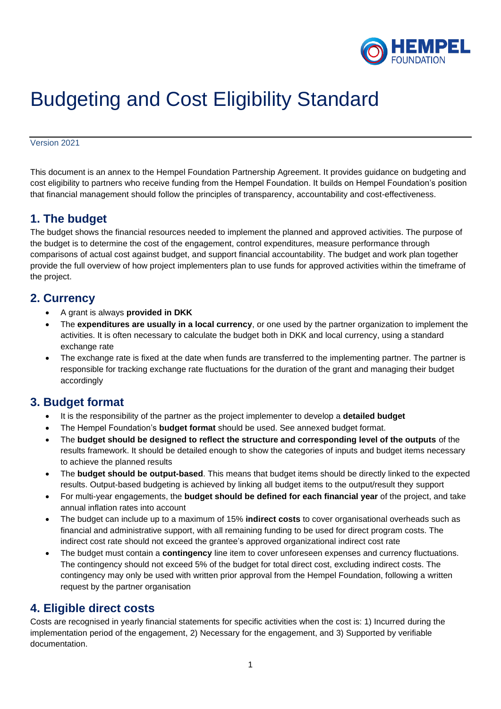

# Budgeting and Cost Eligibility Standard

Version 2021

This document is an annex to the Hempel Foundation Partnership Agreement. It provides guidance on budgeting and cost eligibility to partners who receive funding from the Hempel Foundation. It builds on Hempel Foundation's position that financial management should follow the principles of transparency, accountability and cost-effectiveness.

### **1. The budget**

The budget shows the financial resources needed to implement the planned and approved activities. The purpose of the budget is to determine the cost of the engagement, control expenditures, measure performance through comparisons of actual cost against budget, and support financial accountability. The budget and work plan together provide the full overview of how project implementers plan to use funds for approved activities within the timeframe of the project.

#### **2. Currency**

- A grant is always **provided in DKK**
- The **expenditures are usually in a local currency**, or one used by the partner organization to implement the activities. It is often necessary to calculate the budget both in DKK and local currency, using a standard exchange rate
- The exchange rate is fixed at the date when funds are transferred to the implementing partner. The partner is responsible for tracking exchange rate fluctuations for the duration of the grant and managing their budget accordingly

## **3. Budget format**

- It is the responsibility of the partner as the project implementer to develop a **detailed budget**
- The Hempel Foundation's **budget format** should be used. See annexed budget format.
- The **budget should be designed to reflect the structure and corresponding level of the outputs** of the results framework. It should be detailed enough to show the categories of inputs and budget items necessary to achieve the planned results
- The **budget should be output-based**. This means that budget items should be directly linked to the expected results. Output-based budgeting is achieved by linking all budget items to the output/result they support
- For multi-year engagements, the **budget should be defined for each financial year** of the project, and take annual inflation rates into account
- The budget can include up to a maximum of 15% **indirect costs** to cover organisational overheads such as financial and administrative support, with all remaining funding to be used for direct program costs. The indirect cost rate should not exceed the grantee's approved organizational indirect cost rate
- The budget must contain a **contingency** line item to cover unforeseen expenses and currency fluctuations. The contingency should not exceed 5% of the budget for total direct cost, excluding indirect costs. The contingency may only be used with written prior approval from the Hempel Foundation, following a written request by the partner organisation

#### **4. Eligible direct costs**

Costs are recognised in yearly financial statements for specific activities when the cost is: 1) Incurred during the implementation period of the engagement, 2) Necessary for the engagement, and 3) Supported by verifiable documentation.